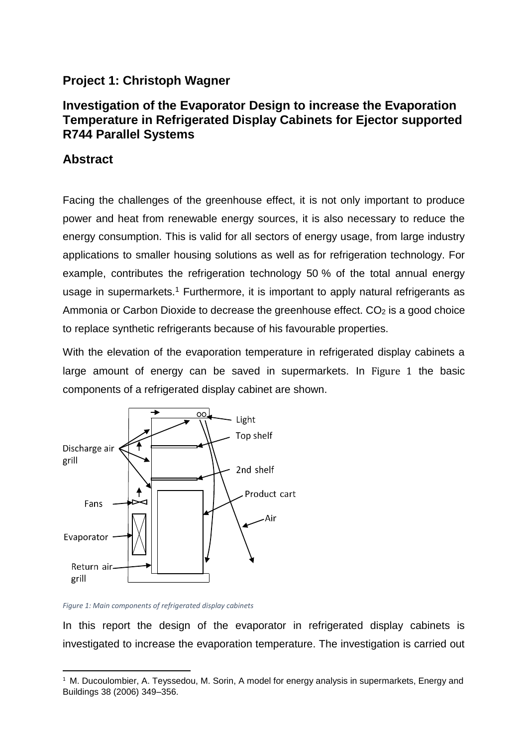## **Project 1: Christoph Wagner**

## **Investigation of the Evaporator Design to increase the Evaporation Temperature in Refrigerated Display Cabinets for Ejector supported R744 Parallel Systems**

## **Abstract**

Facing the challenges of the greenhouse effect, it is not only important to produce power and heat from renewable energy sources, it is also necessary to reduce the energy consumption. This is valid for all sectors of energy usage, from large industry applications to smaller housing solutions as well as for refrigeration technology. For example, contributes the refrigeration technology 50 % of the total annual energy usage in supermarkets.<sup>1</sup> Furthermore, it is important to apply natural refrigerants as Ammonia or Carbon Dioxide to decrease the greenhouse effect.  $CO<sub>2</sub>$  is a good choice to replace synthetic refrigerants because of his favourable properties.

With the elevation of the evaporation temperature in refrigerated display cabinets a large amount of energy can be saved in supermarkets. In [Figure 1](#page-0-0) the basic components of a refrigerated display cabinet are shown.



<span id="page-0-0"></span>*Figure 1: Main components of refrigerated display cabinets*

**.** 

In this report the design of the evaporator in refrigerated display cabinets is investigated to increase the evaporation temperature. The investigation is carried out

<sup>&</sup>lt;sup>1</sup> M. Ducoulombier, A. Teyssedou, M. Sorin, A model for energy analysis in supermarkets, Energy and Buildings 38 (2006) 349–356.